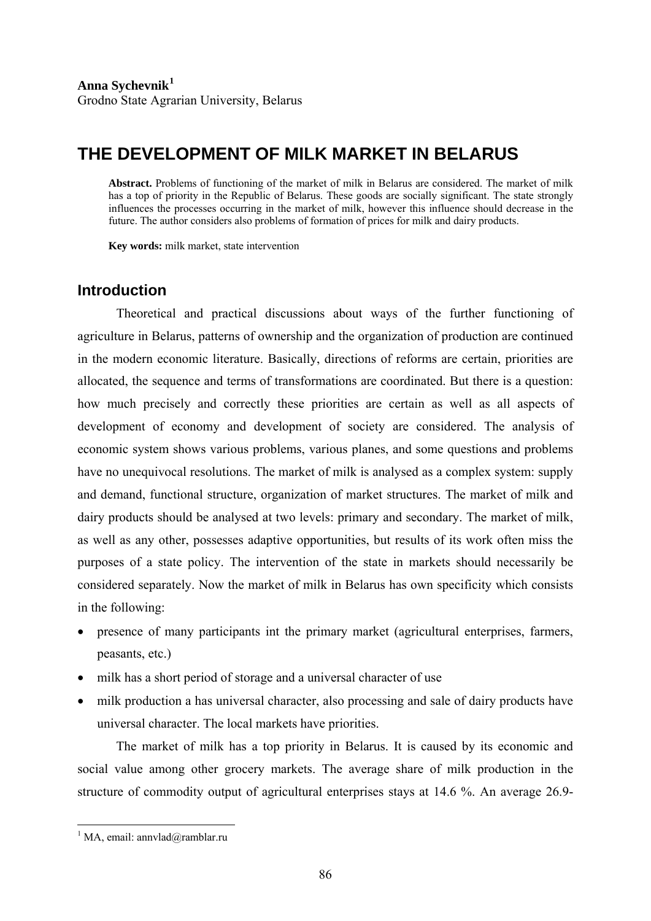# **THE DEVELOPMENT OF MILK MARKET IN BELARUS**

**Abstract.** Problems of functioning of the market of milk in Belarus are considered. The market of milk has a top of priority in the Republic of Belarus. These goods are socially significant. The state strongly influences the processes occurring in the market of milk, however this influence should decrease in the future. The author considers also problems of formation of prices for milk and dairy products.

**Key words:** milk market, state intervention

## **Introduction**

Theoretical and practical discussions about ways of the further functioning of agriculture in Belarus, patterns of ownership and the organization of production are continued in the modern economic literature. Basically, directions of reforms are certain, priorities are allocated, the sequence and terms of transformations are coordinated. But there is a question: how much precisely and correctly these priorities are certain as well as all aspects of development of economy and development of society are considered. The analysis of economic system shows various problems, various planes, and some questions and problems have no unequivocal resolutions. The market of milk is analysed as a complex system: supply and demand, functional structure, organization of market structures. The market of milk and dairy products should be analysed at two levels: primary and secondary. The market of milk, as well as any other, possesses adaptive opportunities, but results of its work often miss the purposes of a state policy. The intervention of the state in markets should necessarily be considered separately. Now the market of milk in Belarus has own specificity which consists in the following:

- presence of many participants int the primary market (agricultural enterprises, farmers, peasants, etc.)
- milk has a short period of storage and a universal character of use
- milk production a has universal character, also processing and sale of dairy products have universal character. The local markets have priorities.

The market of milk has a top priority in Belarus. It is caused by its economic and social value among other grocery markets. The average share of milk production in the structure of commodity output of agricultural enterprises stays at 14.6 %. An average 26.9-

1

<span id="page-0-0"></span> $<sup>1</sup>$  MA, email: annvlad@ramblar.ru</sup>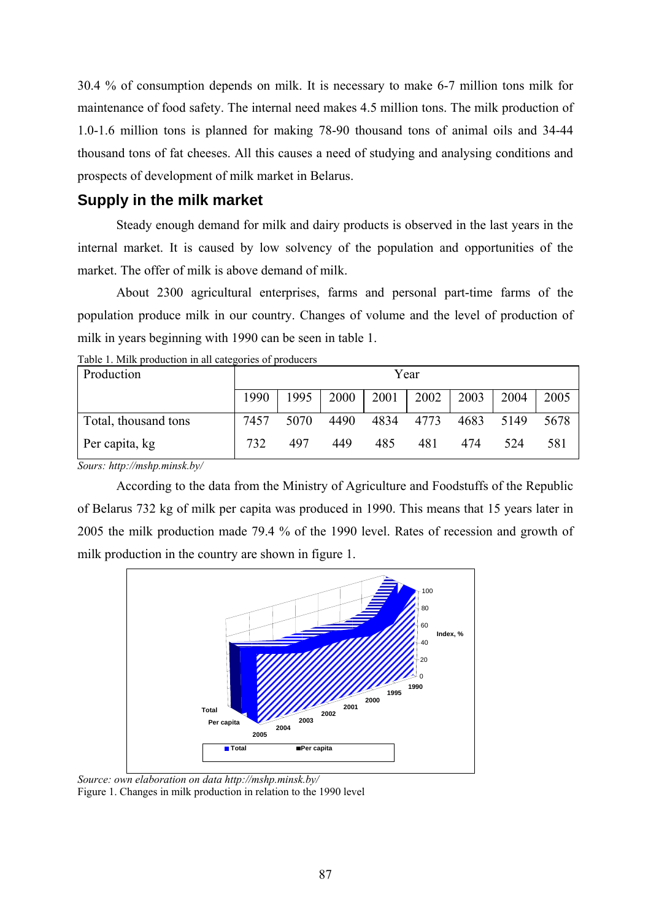30.4 % of consumption depends on milk. It is necessary to make 6-7 million tons milk for maintenance of food safety. The internal need makes 4.5 million tons. The milk production of 1.0-1.6 million tons is planned for making 78-90 thousand tons of animal oils and 34-44 thousand tons of fat cheeses. All this causes a need of studying and analysing conditions and prospects of development of milk market in Belarus.

# **Supply in the milk market**

Steady enough demand for milk and dairy products is observed in the last years in the internal market. It is caused by low solvency of the population and opportunities of the market. The offer of milk is above demand of milk.

About 2300 agricultural enterprises, farms and personal part-time farms of the population produce milk in our country. Changes of volume and the level of production of milk in years beginning with 1990 can be seen in table 1.

| Production           | raoit 1. mini production in un categories of producers<br>Year |      |      |      |      |      |      |      |  |  |
|----------------------|----------------------------------------------------------------|------|------|------|------|------|------|------|--|--|
|                      | 1990                                                           | 1995 | 2000 | 2001 | 2002 | 2003 | 2004 | 2005 |  |  |
| Total, thousand tons | 7457                                                           | 5070 | 4490 | 4834 | 4773 | 4683 | 5149 | 5678 |  |  |
| Per capita, kg       | 732                                                            | 497  | 449  | 485  | 481  | 474  | 524  | 581  |  |  |

Table 1. Milk production in all categories of producers

*Sours: http://mshp.minsk.by/* 

According to the data from the Ministry of Agriculture and Foodstuffs of the Republic of Belarus 732 kg of milk per capita was produced in 1990. This means that 15 years later in 2005 the milk production made 79.4 % of the 1990 level. Rates of recession and growth of milk production in the country are shown in figure 1.



*Source: own elaboration on data http://mshp.minsk.by/*  Figure 1. Changes in milk production in relation to the 1990 level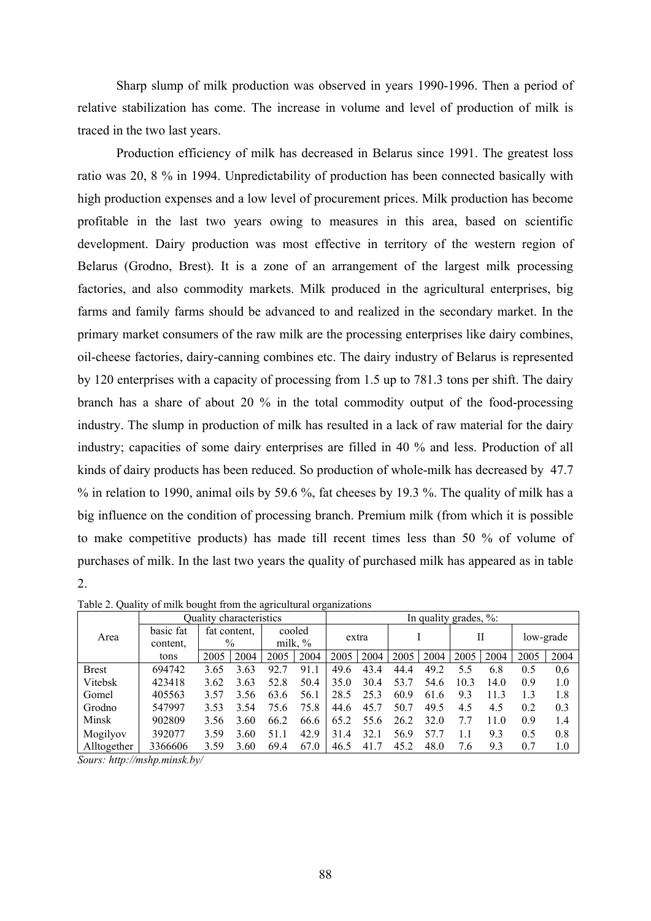Sharp slump of milk production was observed in years 1990-1996. Then a period of relative stabilization has come. The increase in volume and level of production of milk is traced in the two last years.

Production efficiency of milk has decreased in Belarus since 1991. The greatest loss ratio was 20, 8 % in 1994. Unpredictability of production has been connected basically with high production expenses and a low level of procurement prices. Milk production has become profitable in the last two years owing to measures in this area, based on scientific development. Dairy production was most effective in territory of the western region of Belarus (Grodno, Brest). It is a zone of an arrangement of the largest milk processing factories, and also commodity markets. Milk produced in the agricultural enterprises, big farms and family farms should be advanced to and realized in the secondary market. In the primary market consumers of the raw milk are the processing enterprises like dairy combines, oil-cheese factories, dairy-canning combines etc. The dairy industry of Belarus is represented by 120 enterprises with a capacity of processing from 1.5 up to 781.3 tons per shift. The dairy branch has a share of about 20 % in the total commodity output of the food-processing industry. The slump in production of milk has resulted in a lack of raw material for the dairy industry; capacities of some dairy enterprises are filled in 40 % and less. Production of all kinds of dairy products has been reduced. So production of whole-milk has decreased by 47.7 % in relation to 1990, animal oils by 59.6 %, fat cheeses by 19.3 %. The quality of milk has a big influence on the condition of processing branch. Premium milk (from which it is possible to make competitive products) has made till recent times less than 50 % of volume of purchases of milk. In the last two years the quality of purchased milk has appeared as in table 2.

| Area         | Quality characteristics |      |                      |                      |      | In quality grades, %: |      |      |      |      |      |           |      |
|--------------|-------------------------|------|----------------------|----------------------|------|-----------------------|------|------|------|------|------|-----------|------|
|              | basic fat<br>content.   |      | fat content.<br>$\%$ | cooled<br>milk, $\%$ |      | extra                 |      |      |      | П    |      | low-grade |      |
|              | tons                    | 2005 | 2004                 | 2005                 | 2004 | 2005                  | 2004 | 2005 | 2004 | 2005 | 2004 | 2005      | 2004 |
| <b>Brest</b> | 694742                  | 3.65 | 3.63                 | 92.7                 | 91.1 | 49.6                  | 43.4 | 44.4 | 49.2 | 5.5  | 6.8  | 0.5       | 0,6  |
| Vitebsk      | 423418                  | 3.62 | 3.63                 | 52.8                 | 50.4 | 35.0                  | 30.4 | 53.7 | 54.6 | 10.3 | 14.0 | 0.9       | 1.0  |
| Gomel        | 405563                  | 3.57 | 3.56                 | 63.6                 | 56.1 | 28.5                  | 25.3 | 60.9 | 61.6 | 9.3  | 11.3 | 13        | 1.8  |
| Grodno       | 547997                  | 3.53 | 3.54                 | 75.6                 | 75.8 | 44.6                  | 45.7 | 50.7 | 49.5 | 4.5  | 4.5  | 0.2       | 0.3  |
| Minsk        | 902809                  | 3.56 | 3.60                 | 66.2                 | 66.6 | 65.2                  | 55.6 | 26.2 | 32.0 | 7.7  | 11.0 | 0.9       | 1.4  |
| Mogilyov     | 392077                  | 3.59 | 3.60                 | 51.1                 | 42.9 | 31<br>$\overline{4}$  | 32.1 | 56.9 | 57.7 |      | 9.3  | 0.5       | 0.8  |
| Alltogether  | 3366606                 | 3.59 | 3.60                 | 69.4                 | 67.0 | 46.5                  | 41.7 | 45.2 | 48.0 | 7.6  | 9.3  | 0.7       | 1.0  |

Table 2. Quality of milk bought from the agricultural organizations

*Sours: <http://mshp.minsk.by/>*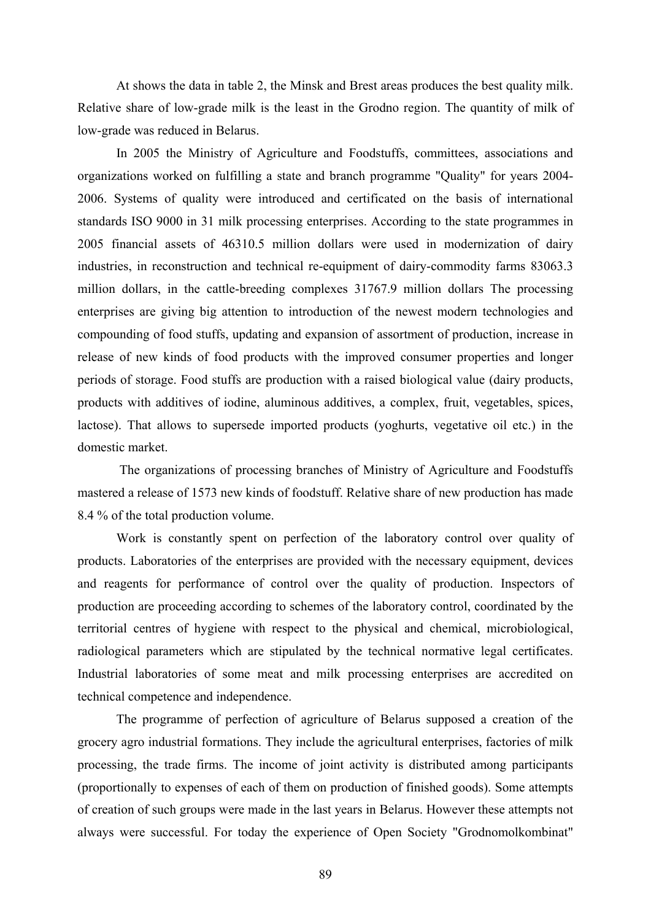At shows the data in table 2, the Minsk and Brest areas produces the best quality milk. Relative share of low-grade milk is the least in the Grodno region. The quantity of milk of low-grade was reduced in Belarus.

In 2005 the Ministry of Agriculture and Foodstuffs, committees, associations and organizations worked on fulfilling a state and branch programme "Quality" for years 2004- 2006. Systems of quality were introduced and certificated on the basis of international standards ISO 9000 in 31 milk processing enterprises. According to the state programmes in 2005 financial assets of 46310.5 million dollars were used in modernization of dairy industries, in reconstruction and technical re-equipment of dairy-commodity farms 83063.3 million dollars, in the cattle-breeding complexes 31767.9 million dollars The processing enterprises are giving big attention to introduction of the newest modern technologies and compounding of food stuffs, updating and expansion of assortment of production, increase in release of new kinds of food products with the improved consumer properties and longer periods of storage. Food stuffs are production with a raised biological value (dairy products, products with additives of iodine, aluminous additives, a complex, fruit, vegetables, spices, lactose). That allows to supersede imported products (yoghurts, vegetative oil etc.) in the domestic market.

 The organizations of processing branches of Ministry of Agriculture and Foodstuffs mastered a release of 1573 new kinds of foodstuff. Relative share of new production has made 8.4 % of the total production volume.

Work is constantly spent on perfection of the laboratory control over quality of products. Laboratories of the enterprises are provided with the necessary equipment, devices and reagents for performance of control over the quality of production. Inspectors of production are proceeding according to schemes of the laboratory control, coordinated by the territorial centres of hygiene with respect to the physical and chemical, microbiological, radiological parameters which are stipulated by the technical normative legal certificates. Industrial laboratories of some meat and milk processing enterprises are accredited on technical competence and independence.

The programme of perfection of agriculture of Belarus supposed a creation of the grocery agro industrial formations. They include the agricultural enterprises, factories of milk processing, the trade firms. The income of joint activity is distributed among participants (proportionally to expenses of each of them on production of finished goods). Some attempts of creation of such groups were made in the last years in Belarus. However these attempts not always were successful. For today the experience of Open Society "Grodnomolkombinat"

89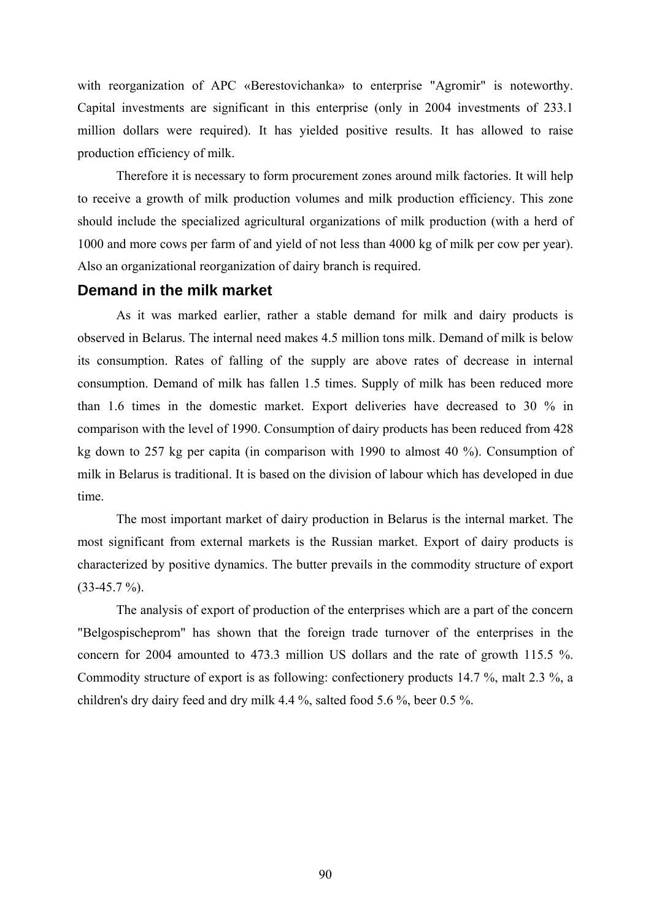with reorganization of APC «Berestovichanka» to enterprise "Agromir" is noteworthy. Capital investments are significant in this enterprise (only in 2004 investments of 233.1 million dollars were required). It has yielded positive results. It has allowed to raise production efficiency of milk.

Therefore it is necessary to form procurement zones around milk factories. It will help to receive a growth of milk production volumes and milk production efficiency. This zone should include the specialized agricultural organizations of milk production (with a herd of 1000 and more cows per farm of and yield of not less than 4000 kg of milk per cow per year). Also an organizational reorganization of dairy branch is required.

#### **Demand in the milk market**

As it was marked earlier, rather a stable demand for milk and dairy products is observed in Belarus. The internal need makes 4.5 million tons milk. Demand of milk is below its consumption. Rates of falling of the supply are above rates of decrease in internal consumption. Demand of milk has fallen 1.5 times. Supply of milk has been reduced more than 1.6 times in the domestic market. Export deliveries have decreased to 30 % in comparison with the level of 1990. Consumption of dairy products has been reduced from 428 kg down to 257 kg per capita (in comparison with 1990 to almost 40 %). Consumption of milk in Belarus is traditional. It is based on the division of labour which has developed in due time.

The most important market of dairy production in Belarus is the internal market. The most significant from external markets is the Russian market. Export of dairy products is characterized by positive dynamics. The butter prevails in the commodity structure of export  $(33-45.7 \%)$ .

The analysis of export of production of the enterprises which are a part of the concern "Belgospischeprom" has shown that the foreign trade turnover of the enterprises in the concern for 2004 amounted to 473.3 million US dollars and the rate of growth 115.5 %. Commodity structure of export is as following: confectionery products 14.7 %, malt 2.3 %, a children's dry dairy feed and dry milk 4.4 %, salted food 5.6 %, beer 0.5 %.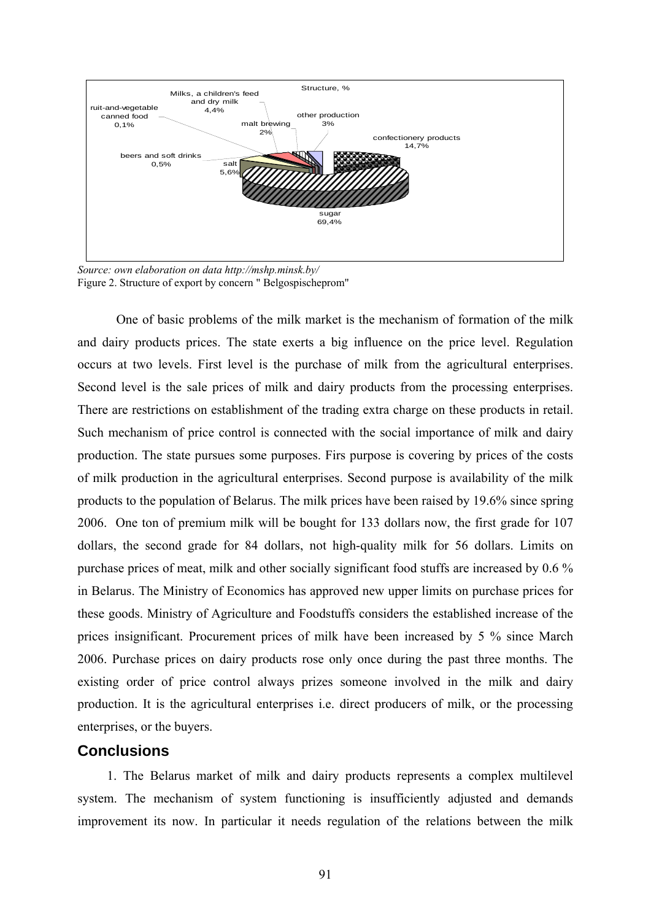

*Source: own elaboration on data <http://mshp.minsk.by/>* Figure 2. Structure of export by concern " Belgospischeprom"

One of basic problems of the milk market is the mechanism of formation of the milk and dairy products prices. The state exerts a big influence on the price level. Regulation occurs at two levels. First level is the purchase of milk from the agricultural enterprises. Second level is the sale prices of milk and dairy products from the processing enterprises. There are restrictions on establishment of the trading extra charge on these products in retail. Such mechanism of price control is connected with the social importance of milk and dairy production. The state pursues some purposes. Firs purpose is covering by prices of the costs of milk production in the agricultural enterprises. Second purpose is availability of the milk products to the population of Belarus. The milk prices have been raised by 19.6% since spring 2006. One ton of premium milk will be bought for 133 dollars now, the first grade for 107 dollars, the second grade for 84 dollars, not high-quality milk for 56 dollars. Limits on purchase prices of meat, milk and other socially significant food stuffs are increased by 0.6 % in Belarus. The Ministry of Economics has approved new upper limits on purchase prices for these goods. Ministry of Agriculture and Foodstuffs considers the established increase of the prices insignificant. Procurement prices of milk have been increased by 5 % since March 2006. Purchase prices on dairy products rose only once during the past three months. The existing order of price control always prizes someone involved in the milk and dairy production. It is the agricultural enterprises i.e. direct producers of milk, or the processing enterprises, or the buyers.

### **Conclusions**

1. The Belarus market of milk and dairy products represents a complex multilevel system. The mechanism of system functioning is insufficiently adjusted and demands improvement its now. In particular it needs regulation of the relations between the milk